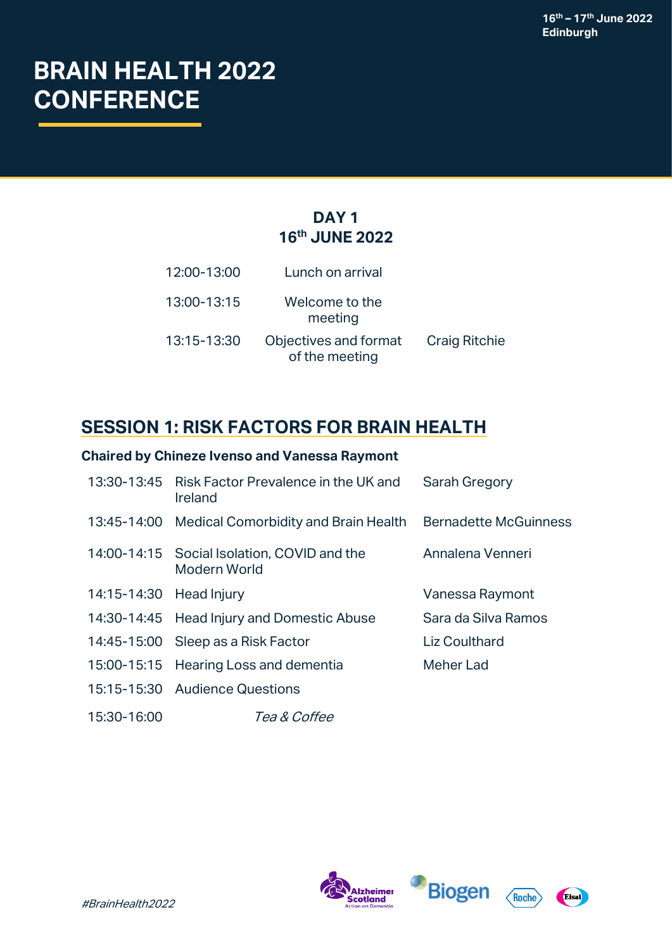# **BRAIN HEALTH 2022 CONFERENCE**

## **DAY 1 16th JUNE 2022**

| 12:00-13:00 | Lunch on arrival                        |                      |
|-------------|-----------------------------------------|----------------------|
| 13:00-13:15 | Welcome to the<br>meeting               |                      |
| 13:15-13:30 | Objectives and format<br>of the meeting | <b>Craig Ritchie</b> |

# **SESSION 1: RISK FACTORS FOR BRAIN HEALTH**

## **Chaired by Chineze Ivenso and Vanessa Raymont**

|                         | 13:30-13:45 Risk Factor Prevalence in the UK and<br>Ireland            | <b>Sarah Gregory</b> |
|-------------------------|------------------------------------------------------------------------|----------------------|
|                         | 13:45-14:00 Medical Comorbidity and Brain Health Bernadette McGuinness |                      |
|                         | 14:00-14:15 Social Isolation, COVID and the<br>Modern World            | Annalena Venneri     |
| 14:15-14:30 Head Injury |                                                                        | Vanessa Raymont      |
|                         | 14:30-14:45 Head Injury and Domestic Abuse                             | Sara da Silva Ramos  |
|                         | 14:45-15:00 Sleep as a Risk Factor                                     | <b>Liz Coulthard</b> |
|                         | 15:00-15:15 Hearing Loss and dementia                                  | Meher Lad            |
|                         | 15:15-15:30 Audience Questions                                         |                      |
| 15:30-16:00             | <i>Tea &amp; Coffee</i>                                                |                      |





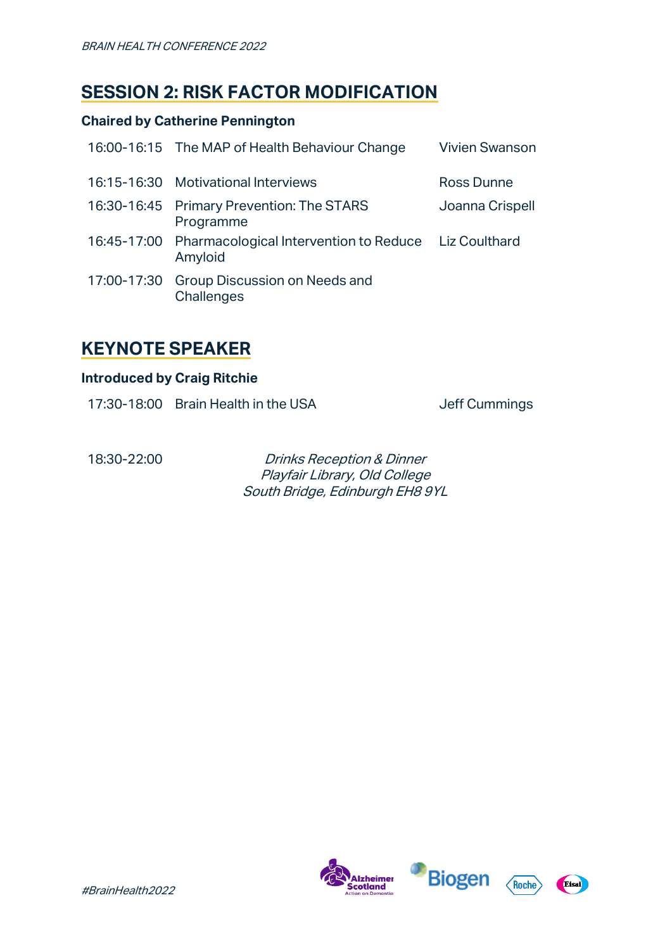# **SESSION 2: RISK FACTOR MODIFICATION**

### **Chaired by Catherine Pennington**

| 16:00-16:15 The MAP of Health Behaviour Change                              | <b>Vivien Swanson</b> |
|-----------------------------------------------------------------------------|-----------------------|
| 16:15-16:30 Motivational Interviews                                         | Ross Dunne            |
| 16:30-16:45 Primary Prevention: The STARS<br>Programme                      | Joanna Crispell       |
| 16:45-17:00 Pharmacological Intervention to Reduce Liz Coulthard<br>Amyloid |                       |
| 17:00-17:30 Group Discussion on Needs and<br>Challenges                     |                       |

## **KEYNOTE SPEAKER**

#### **Introduced by Craig Ritchie**

17:30-18:00 Brain Health in the USA Jeff Cummings

18:30-22:00 Drinks Reception & Dinner Playfair Library, Old College South Bridge, Edinburgh EH8 9YL





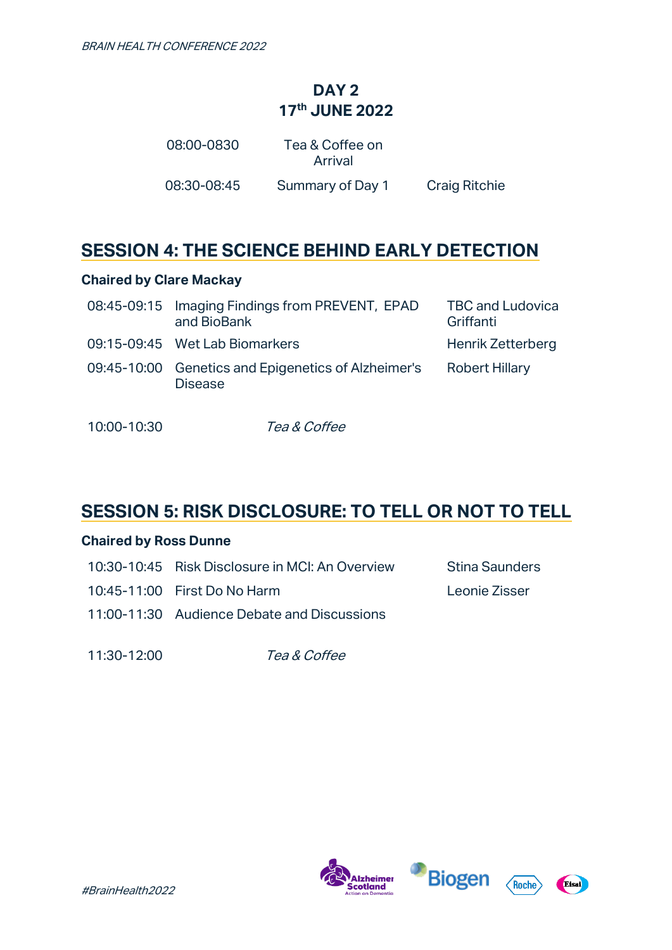## **DAY 2 17 th JUNE 2022**

| 08:00-0830  | Tea & Coffee on<br>Arrival |                      |
|-------------|----------------------------|----------------------|
| 08:30-08:45 | Summary of Day 1           | <b>Craig Ritchie</b> |

# **SESSION 4: THE SCIENCE BEHIND EARLY DETECTION**

### **Chaired by Clare Mackay**

| 08:45-09:15 Imaging Findings from PREVENT, EPAD<br>and BioBank        | <b>TBC and Ludovica</b><br>Griffanti |
|-----------------------------------------------------------------------|--------------------------------------|
| 09:15-09:45 Wet Lab Biomarkers                                        | Henrik Zetterberg                    |
| 09:45-10:00 Genetics and Epigenetics of Alzheimer's<br><b>Disease</b> | <b>Robert Hillary</b>                |

10:00-10:30 Tea & Coffee

# **SESSION 5: RISK DISCLOSURE: TO TELL OR NOT TO TELL**

#### **Chaired by Ross Dunne**

| 10:30-10:45 Risk Disclosure in MCI: An Overview | Stina Saunders |
|-------------------------------------------------|----------------|
| 10:45-11:00 First Do No Harm                    | Leonie Zisser  |
| 11:00-11:30 Audience Debate and Discussions     |                |

11:30-12:00 Tea & Coffee